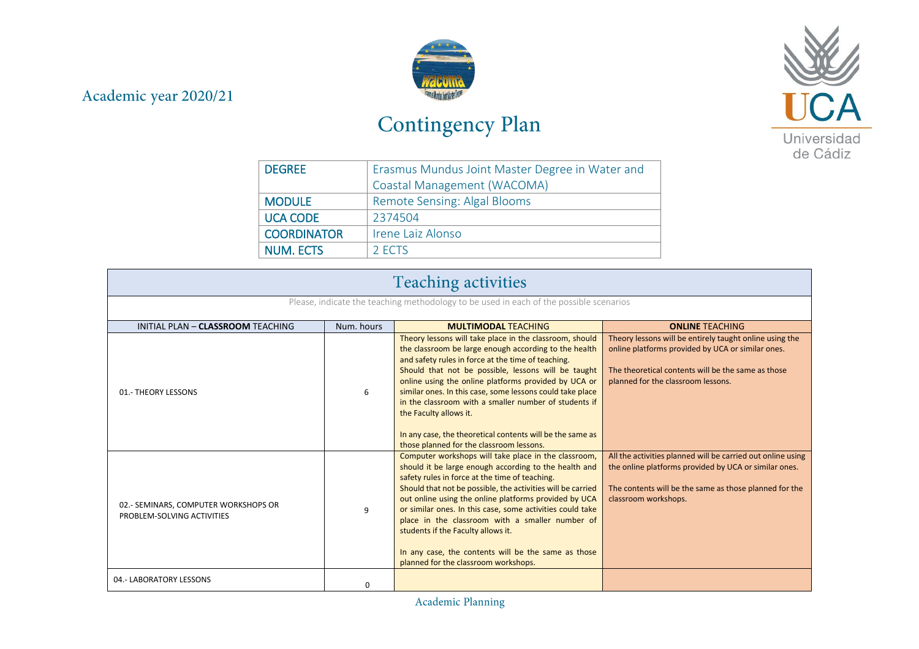## Academic year 2020/21



## Contingency Plan



| <b>DEGREE</b>      | Erasmus Mundus Joint Master Degree in Water and |  |  |
|--------------------|-------------------------------------------------|--|--|
|                    | Coastal Management (WACOMA)                     |  |  |
| <b>MODULE</b>      | Remote Sensing: Algal Blooms                    |  |  |
| <b>UCA CODE</b>    | 2374504                                         |  |  |
| <b>COORDINATOR</b> | Irene Laiz Alonso                               |  |  |
| <b>NUM. ECTS</b>   | 2 ECTS                                          |  |  |

| <b>Teaching activities</b>                                                             |            |                                                                                                                                                                                                                                                                                                                                                                                                                                                                                                                                                |                                                                                                                                                                                                          |
|----------------------------------------------------------------------------------------|------------|------------------------------------------------------------------------------------------------------------------------------------------------------------------------------------------------------------------------------------------------------------------------------------------------------------------------------------------------------------------------------------------------------------------------------------------------------------------------------------------------------------------------------------------------|----------------------------------------------------------------------------------------------------------------------------------------------------------------------------------------------------------|
| Please, indicate the teaching methodology to be used in each of the possible scenarios |            |                                                                                                                                                                                                                                                                                                                                                                                                                                                                                                                                                |                                                                                                                                                                                                          |
| INITIAL PLAN - CLASSROOM TEACHING                                                      | Num, hours | <b>MULTIMODAL TEACHING</b>                                                                                                                                                                                                                                                                                                                                                                                                                                                                                                                     | <b>ONLINE TEACHING</b>                                                                                                                                                                                   |
| 01.- THEORY LESSONS                                                                    | 6          | Theory lessons will take place in the classroom, should<br>the classroom be large enough according to the health<br>and safety rules in force at the time of teaching.<br>Should that not be possible, lessons will be taught<br>online using the online platforms provided by UCA or<br>similar ones. In this case, some lessons could take place<br>in the classroom with a smaller number of students if<br>the Faculty allows it.<br>In any case, the theoretical contents will be the same as<br>those planned for the classroom lessons. | Theory lessons will be entirely taught online using the<br>online platforms provided by UCA or similar ones.<br>The theoretical contents will be the same as those<br>planned for the classroom lessons. |
| 02.- SEMINARS, COMPUTER WORKSHOPS OR<br>PROBLEM-SOLVING ACTIVITIES                     | 9          | Computer workshops will take place in the classroom,<br>should it be large enough according to the health and<br>safety rules in force at the time of teaching.<br>Should that not be possible, the activities will be carried<br>out online using the online platforms provided by UCA<br>or similar ones. In this case, some activities could take<br>place in the classroom with a smaller number of<br>students if the Faculty allows it.<br>In any case, the contents will be the same as those<br>planned for the classroom workshops.   | All the activities planned will be carried out online using<br>the online platforms provided by UCA or similar ones.<br>The contents will be the same as those planned for the<br>classroom workshops.   |
| 04.- LABORATORY LESSONS                                                                | O          |                                                                                                                                                                                                                                                                                                                                                                                                                                                                                                                                                |                                                                                                                                                                                                          |

Academic Planning